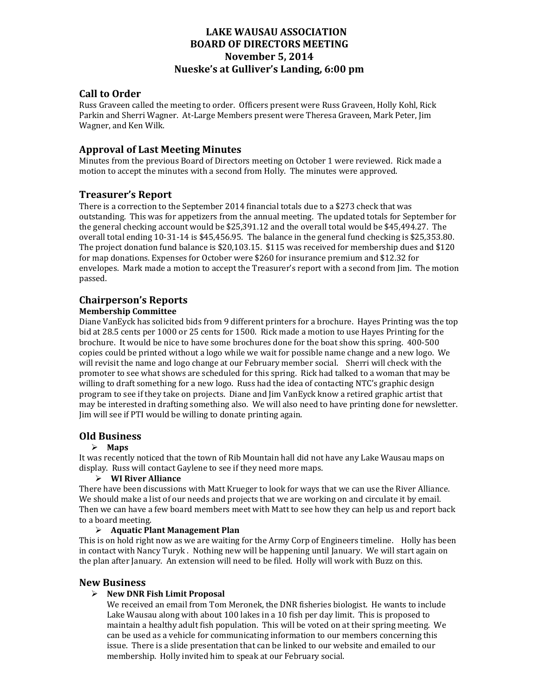## **LAKE WAUSAU ASSOCIATION BOARD OF DIRECTORS MEETING November 5, 2014 Nueske's at Gulliver's Landing, 6:00 pm**

### **Call to Order**

Russ Graveen called the meeting to order. Officers present were Russ Graveen, Holly Kohl, Rick Parkin and Sherri Wagner. At-Large Members present were Theresa Graveen, Mark Peter, Jim Wagner, and Ken Wilk.

### **Approval of Last Meeting Minutes**

Minutes from the previous Board of Directors meeting on October 1 were reviewed. Rick made a motion to accept the minutes with a second from Holly. The minutes were approved.

### **Treasurer's Report**

There is a correction to the September 2014 financial totals due to a \$273 check that was outstanding. This was for appetizers from the annual meeting. The updated totals for September for the general checking account would be  $$25,391.12$  and the overall total would be  $$45,494.27$ . The overall total ending  $10-31-14$  is \$45,456.95. The balance in the general fund checking is \$25,353.80. The project donation fund balance is  $$20,103.15$ .  $$115$  was received for membership dues and  $$120$ for map donations. Expenses for October were \$260 for insurance premium and \$12.32 for envelopes. Mark made a motion to accept the Treasurer's report with a second from Jim. The motion passed. 

# **Chairperson's Reports**

#### **Membership Committee**

Diane VanEyck has solicited bids from 9 different printers for a brochure. Hayes Printing was the top bid at 28.5 cents per 1000 or 25 cents for 1500. Rick made a motion to use Hayes Printing for the brochure. It would be nice to have some brochures done for the boat show this spring. 400-500 copies could be printed without a logo while we wait for possible name change and a new logo. We will revisit the name and logo change at our February member social. Sherri will check with the promoter to see what shows are scheduled for this spring. Rick had talked to a woman that may be willing to draft something for a new logo. Russ had the idea of contacting NTC's graphic design program to see if they take on projects. Diane and  $\lim$  VanEyck know a retired graphic artist that may be interested in drafting something also. We will also need to have printing done for newsletter. Jim will see if PTI would be willing to donate printing again.

### **Old Business**

#### **Maps**

It was recently noticed that the town of Rib Mountain hall did not have any Lake Wausau maps on display. Russ will contact Gaylene to see if they need more maps.

#### **WI River Alliance**

There have been discussions with Matt Krueger to look for ways that we can use the River Alliance. We should make a list of our needs and projects that we are working on and circulate it by email. Then we can have a few board members meet with Matt to see how they can help us and report back to a board meeting.

#### **Aquatic Plant Management Plan**

This is on hold right now as we are waiting for the Army Corp of Engineers timeline. Holly has been in contact with Nancy Turyk, Nothing new will be happening until January. We will start again on the plan after January. An extension will need to be filed. Holly will work with Buzz on this.

#### **New Business**

#### **New DNR Fish Limit Proposal**

We received an email from Tom Meronek, the DNR fisheries biologist. He wants to include Lake Wausau along with about 100 lakes in a 10 fish per day limit. This is proposed to maintain a healthy adult fish population. This will be voted on at their spring meeting. We can be used as a vehicle for communicating information to our members concerning this issue. There is a slide presentation that can be linked to our website and emailed to our membership. Holly invited him to speak at our February social.